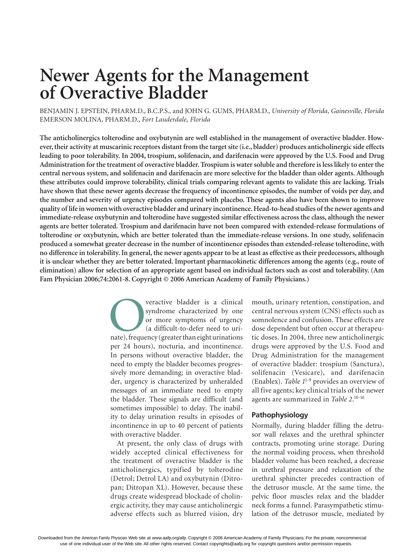# **Newer Agents for the Management of Overactive Bladder**

BENJAMIN J. EPSTEIN, PHARM.D., B.C.P.S., and JOHN G. GUMS, PHARM.D., *University of Florida, Gainesville, Florida* EMERSON MOLINA, PHARM.D., *Fort Lauderdale, Florida*

**The anticholinergics tolterodine and oxybutynin are well established in the management of overactive bladder. However, their activity at muscarinic receptors distant from the target site (i.e., bladder) produces anticholinergic side effects leading to poor tolerability. In 2004, trospium, solifenacin, and darifenacin were approved by the U.S. Food and Drug Administration for the treatment of overactive bladder. Trospium is water soluble and therefore is less likely to enter the central nervous system, and solifenacin and darifenacin are more selective for the bladder than older agents. Although these attributes could improve tolerability, clinical trials comparing relevant agents to validate this are lacking. Trials have shown that these newer agents decrease the frequency of incontinence episodes, the number of voids per day, and the number and severity of urgency episodes compared with placebo. These agents also have been shown to improve quality of life in women with overactive bladder and urinary incontinence. Head-to-head studies of the newer agents and immediate-release oxybutynin and tolterodine have suggested similar effectiveness across the class, although the newer agents are better tolerated. Trospium and darifenacin have not been compared with extended-release formulations of tolterodine or oxybutynin, which are better tolerated than the immediate-release versions. In one study, solifenacin produced a somewhat greater decrease in the number of incontinence episodes than extended-release tolterodine, with no difference in tolerability. In general, the newer agents appear to be at least as effective as their predecessors, although it is unclear whether they are better tolerated. Important pharmacokinetic differences among the agents (e.g., route of elimination) allow for selection of an appropriate agent based on individual factors such as cost and tolerability. (Am Fam Physician 2006;74:2061-8. Copyright © 2006 American Academy of Family Physicians.)**

> veractive bladder is a clinical<br>
> syndrome characterized by one<br>
> or more symptoms of urgency<br>
> (a difficult-to-defer need to uri-<br>
> nate), frequency (greater than eight urinations syndrome characterized by one or more symptoms of urgency (a difficult-to-defer need to uriper 24 hours), nocturia, and incontinence. In persons without overactive bladder, the need to empty the bladder becomes progressively more demanding; in overactive bladder, urgency is characterized by unheralded messages of an immediate need to empty the bladder. These signals are difficult (and sometimes impossible) to delay. The inability to delay urination results in episodes of incontinence in up to 40 percent of patients with overactive bladder.

> At present, the only class of drugs with widely accepted clinical effectiveness for the treatment of overactive bladder is the anticholinergics, typified by tolterodine (Detrol; Detrol LA) and oxybutynin (Ditropan; Ditropan XL). However, because these drugs create widespread blockade of cholinergic activity, they may cause anticholinergic adverse effects such as blurred vision, dry

mouth, urinary retention, constipation, and central nervous system (CNS) effects such as somnolence and confusion. These effects are dose dependent but often occur at therapeutic doses. In 2004, three new anticholinergic drugs were approved by the U.S. Food and Drug Administration for the management of overactive bladder: trospium (Sanctura), solifenacin (Vesicare), and darifenacin (Enablex). *Table 1*1-9 provides an overview of all five agents; key clinical trials of the newer agents are summarized in *Table 2*. 10-16

## **Pathophysiology**

Normally, during bladder filling the detrusor wall relaxes and the urethral sphincter contracts, promoting urine storage. During the normal voiding process, when threshold bladder volume has been reached, a decrease in urethral pressure and relaxation of the urethral sphincter precedes contraction of the detrusor muscle. At the same time, the pelvic floor muscles relax and the bladder neck forms a funnel. Parasympathetic stimulation of the detrusor muscle, mediated by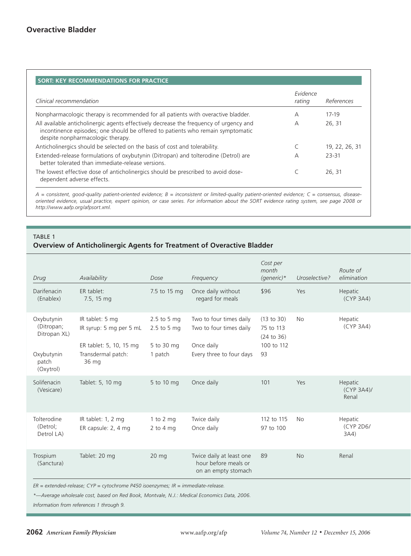|                                                                                                                                                                                                                | Evidence |                |
|----------------------------------------------------------------------------------------------------------------------------------------------------------------------------------------------------------------|----------|----------------|
| Clinical recommendation                                                                                                                                                                                        | rating   | References     |
| Nonpharmacologic therapy is recommended for all patients with overactive bladder.                                                                                                                              | А        | $17-19$        |
| All available anticholinergic agents effectively decrease the frequency of urgency and<br>incontinence episodes; one should be offered to patients who remain symptomatic<br>despite nonpharmacologic therapy. | А        | 26, 31         |
| Anticholinergics should be selected on the basis of cost and tolerability.                                                                                                                                     |          | 19, 22, 26, 31 |
| Extended-release formulations of oxybutynin (Ditropan) and tolterodine (Detrol) are<br>better tolerated than immediate-release versions.                                                                       | А        | 23-31          |
| The lowest effective dose of anticholinergics should be prescribed to avoid dose-<br>dependent adverse effects.                                                                                                |          | 26, 31         |

*A = consistent, good-quality patient-oriented evidence; B = inconsistent or limited-quality patient-oriented evidence; C = consensus, diseaseoriented evidence, usual practice, expert opinion, or case series. For information about the SORT evidence rating system, see page 2008 or http://www.aafp.org/afpsort.xml.*

# TABLE 1

# **Overview of Anticholinergic Agents for Treatment of Overactive Bladder**

| Drug                                                                         | Availability                                                                                         | Dose                                                    | Frequency                                                                                    | Cost per<br>month<br>(generic)*                           | Uroselective? | Route of<br>elimination       |
|------------------------------------------------------------------------------|------------------------------------------------------------------------------------------------------|---------------------------------------------------------|----------------------------------------------------------------------------------------------|-----------------------------------------------------------|---------------|-------------------------------|
| Darifenacin<br>(Enablex)                                                     | ER tablet:<br>7.5, 15 mg                                                                             | 7.5 to 15 mg                                            | Once daily without<br>regard for meals                                                       | \$96                                                      | Yes           | Hepatic<br>(CYP 3A4)          |
| Oxybutynin<br>(Ditropan;<br>Ditropan XL)<br>Oxybutynin<br>patch<br>(Oxytrol) | IR tablet: 5 mg<br>IR syrup: 5 mg per 5 mL<br>ER tablet: 5, 10, 15 mg<br>Transdermal patch:<br>36 mg | $2.5$ to 5 mg<br>$2.5$ to 5 mg<br>5 to 30 mg<br>1 patch | Two to four times daily<br>Two to four times daily<br>Once daily<br>Every three to four days | (13 to 30)<br>75 to 113<br>(24 to 36)<br>100 to 112<br>93 | <b>No</b>     | Hepatic<br>(CYP 3A4)          |
| Solifenacin<br>(Vesicare)                                                    | Tablet: 5, 10 mg                                                                                     | 5 to 10 mg                                              | Once daily                                                                                   | 101                                                       | Yes           | Hepatic<br>(CYP 3A4)<br>Renal |
| Tolterodine<br>(Detrol;<br>Detrol LA)                                        | IR tablet: 1, 2 mg<br>ER capsule: 2, 4 mg                                                            | 1 to 2 $mg$<br>$2$ to $4$ mg                            | Twice daily<br>Once daily                                                                    | 112 to 115<br>97 to 100                                   | <b>No</b>     | Hepatic<br>(CYP 2D6/<br>3A4)  |
| Trospium<br>(Sanctura)                                                       | Tablet: 20 mg                                                                                        | $20 \text{ mg}$                                         | Twice daily at least one<br>hour before meals or<br>on an empty stomach                      | 89                                                        | <b>No</b>     | Renal                         |

*ER = extended-release; CYP = cytochrome P450 isoenzymes; IR = immediate-release.*

*\*—Average wholesale cost, based on Red Book, Montvale, N.J.: Medical Economics Data, 2006.*

*Information from references 1 through 9.*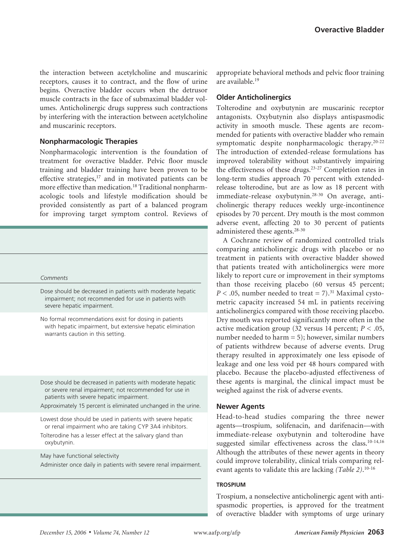the interaction between acetylcholine and muscarinic receptors, causes it to contract, and the flow of urine begins. Overactive bladder occurs when the detrusor muscle contracts in the face of submaximal bladder volumes. Anticholinergic drugs suppress such contractions by interfering with the interaction between acetylcholine and muscarinic receptors.

## **Nonpharmacologic Therapies**

Nonpharmacologic intervention is the foundation of treatment for overactive bladder. Pelvic floor muscle training and bladder training have been proven to be effective strategies,<sup>17</sup> and in motivated patients can be more effective than medication.18 Traditional nonpharmacologic tools and lifestyle modification should be provided consistently as part of a balanced program for improving target symptom control. Reviews of

*elimination Comments*

Dose should be decreased in patients with moderate hepatic impairment; not recommended for use in patients with severe hepatic impairment.

No formal recommendations exist for dosing in patients with hepatic impairment, but extensive hepatic elimination warrants caution in this setting.

Dose should be decreased in patients with moderate hepatic or severe renal impairment; not recommended for use in patients with severe hepatic impairment.

- Approximately 15 percent is eliminated unchanged in the urine.
- Lowest dose should be used in patients with severe hepatic or renal impairment who are taking CYP 3A4 inhibitors.
- Tolterodine has a lesser effect at the salivary gland than oxybutynin.

May have functional selectivity

Administer once daily in patients with severe renal impairment.

appropriate behavioral methods and pelvic floor training are available.19

## **Older Anticholinergics**

Tolterodine and oxybutynin are muscarinic receptor antagonists. Oxybutynin also displays antispasmodic activity in smooth muscle. These agents are recommended for patients with overactive bladder who remain symptomatic despite nonpharmacologic therapy.<sup>20-22</sup> The introduction of extended-release formulations has improved tolerability without substantively impairing the effectiveness of these drugs.23-27 Completion rates in long-term studies approach 70 percent with extendedrelease tolterodine, but are as low as 18 percent with immediate-release oxybutynin.28-30 On average, anticholinergic therapy reduces weekly urge-incontinence episodes by 70 percent. Dry mouth is the most common adverse event, affecting 20 to 30 percent of patients administered these agents.28-30

A Cochrane review of randomized controlled trials comparing anticholinergic drugs with placebo or no treatment in patients with overactive bladder showed that patients treated with anticholinergics were more likely to report cure or improvement in their symptoms than those receiving placebo (60 versus 45 percent;  $P < .05$ , number needed to treat = 7).<sup>31</sup> Maximal cystometric capacity increased 54 mL in patients receiving anticholinergics compared with those receiving placebo. Dry mouth was reported significantly more often in the active medication group (32 versus 14 percent;  $P < .05$ , number needed to harm = 5); however, similar numbers of patients withdrew because of adverse events. Drug therapy resulted in approximately one less episode of leakage and one less void per 48 hours compared with placebo. Because the placebo-adjusted effectiveness of these agents is marginal, the clinical impact must be weighed against the risk of adverse events.

#### **Newer Agents**

Head-to-head studies comparing the three newer agents—trospium, solifenacin, and darifenacin—with immediate-release oxybutynin and tolterodine have suggested similar effectiveness across the class.<sup>10-14,16</sup> Although the attributes of these newer agents in theory could improve tolerability, clinical trials comparing relevant agents to validate this are lacking *(Table 2)*. 10-16

## **trospium**

Trospium, a nonselective anticholinergic agent with antispasmodic properties, is approved for the treatment of overactive bladder with symptoms of urge urinary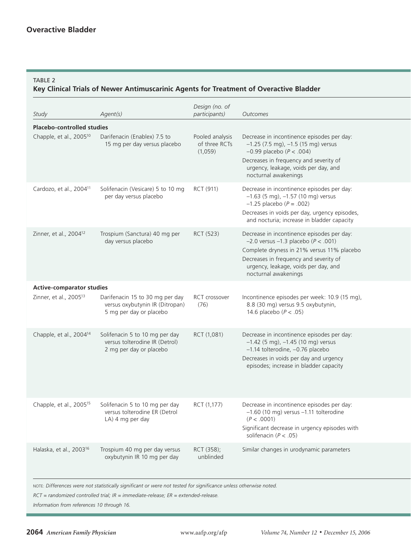## TABLE<sub>2</sub>

# **Key Clinical Trials of Newer Antimuscarinic Agents for Treatment of Overactive Bladder**

| Study                               | Agent(s)                                                                                      | Design (no. of<br>participants)             | Outcomes                                                                                                                                                                                                                                          |  |  |  |
|-------------------------------------|-----------------------------------------------------------------------------------------------|---------------------------------------------|---------------------------------------------------------------------------------------------------------------------------------------------------------------------------------------------------------------------------------------------------|--|--|--|
| <b>Placebo-controlled studies</b>   |                                                                                               |                                             |                                                                                                                                                                                                                                                   |  |  |  |
| Chapple, et al., 2005 <sup>10</sup> | Darifenacin (Enablex) 7.5 to<br>15 mg per day versus placebo                                  | Pooled analysis<br>of three RCTs<br>(1.059) | Decrease in incontinence episodes per day:<br>$-1.25$ (7.5 mg), $-1.5$ (15 mg) versus<br>$-0.99$ placebo ( $P < .004$ )<br>Decreases in frequency and severity of<br>urgency, leakage, voids per day, and<br>nocturnal awakenings                 |  |  |  |
| Cardozo, et al., 2004 <sup>11</sup> | Solifenacin (Vesicare) 5 to 10 mg<br>per day versus placebo                                   | RCT (911)                                   | Decrease in incontinence episodes per day:<br>$-1.63$ (5 mg), $-1.57$ (10 mg) versus<br>$-1.25$ placebo ( $P = .002$ )<br>Decreases in voids per day, urgency episodes,<br>and nocturia; increase in bladder capacity                             |  |  |  |
| Zinner, et al., 2004 <sup>12</sup>  | Trospium (Sanctura) 40 mg per<br>day versus placebo                                           | RCT (523)                                   | Decrease in incontinence episodes per day:<br>$-2.0$ versus $-1.3$ placebo ( $P < .001$ )<br>Complete dryness in 21% versus 11% placebo<br>Decreases in frequency and severity of<br>urgency, leakage, voids per day, and<br>nocturnal awakenings |  |  |  |
| <b>Active-comparator studies</b>    |                                                                                               |                                             |                                                                                                                                                                                                                                                   |  |  |  |
| Zinner, et al., 2005 <sup>13</sup>  | Darifenacin 15 to 30 mg per day<br>versus oxybutynin IR (Ditropan)<br>5 mg per day or placebo | RCT crossover<br>(76)                       | Incontinence episodes per week: 10.9 (15 mg),<br>8.8 (30 mg) versus 9.5 oxybutynin,<br>14.6 placebo ( $P < .05$ )                                                                                                                                 |  |  |  |
| Chapple, et al., 2004 <sup>14</sup> | Solifenacin 5 to 10 mg per day<br>versus tolterodine IR (Detrol)<br>2 mg per day or placebo   | RCT (1,081)                                 | Decrease in incontinence episodes per day:<br>$-1.42$ (5 mg), $-1.45$ (10 mg) versus<br>-1.14 tolterodine, -0.76 placebo<br>Decreases in voids per day and urgency<br>episodes; increase in bladder capacity                                      |  |  |  |
| Chapple, et al., 2005 <sup>15</sup> | Solifenacin 5 to 10 mg per day<br>versus tolterodine ER (Detrol<br>LA) 4 mg per day           | RCT (1,177)                                 | Decrease in incontinence episodes per day:<br>$-1.60$ (10 mg) versus $-1.11$ tolterodine<br>(P < .0001)<br>Significant decrease in urgency episodes with<br>solifenacin ( $P < .05$ )                                                             |  |  |  |
| Halaska, et al., 2003 <sup>16</sup> | Trospium 40 mg per day versus<br>oxybutynin IR 10 mg per day                                  | RCT (358);<br>unblinded                     | Similar changes in urodynamic parameters                                                                                                                                                                                                          |  |  |  |
|                                     |                                                                                               |                                             |                                                                                                                                                                                                                                                   |  |  |  |

NOTE: *Differences were not statistically significant or were not tested for significance unless otherwise noted.*

*RCT = randomized controlled trial; IR = immediate-release; ER = extended-release.*

*Information from references 10 through 16.*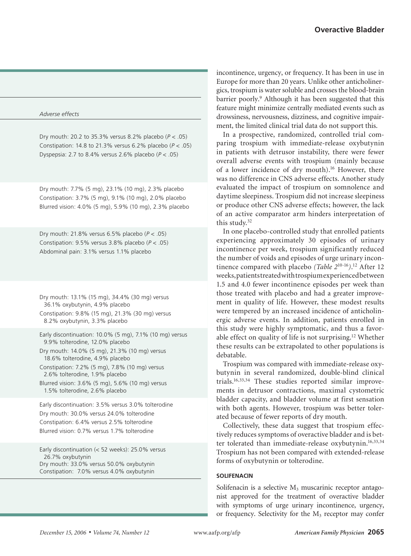#### *participants) Outcomes Adverse effects*

Dry mouth: 20.2 to 35.3% versus 8.2% placebo (*P* < .05) Constipation: 14.8 to 21.3% versus 6.2% placebo (*P* < .05) Dyspepsia: 2.7 to 8.4% versus 2.6% placebo (*P* < .05)

Dry mouth: 7.7% (5 mg), 23.1% (10 mg), 2.3% placebo Constipation: 3.7% (5 mg), 9.1% (10 mg), 2.0% placebo Blurred vision: 4.0% (5 mg), 5.9% (10 mg), 2.3% placebo

Dry mouth: 21.8% versus 6.5% placebo (*P* < .05) Constipation: 9.5% versus 3.8% placebo (*P* < .05) Abdominal pain: 3.1% versus 1.1% placebo

Dry mouth: 13.1% (15 mg), 34.4% (30 mg) versus 36.1% oxybutynin, 4.9% placebo Constipation: 9.8% (15 mg), 21.3% (30 mg) versus

8.2% oxybutynin, 3.3% placebo

Early discontinuation: 10.0% (5 mg), 7.1% (10 mg) versus 9.9% tolterodine, 12.0% placebo

Dry mouth: 14.0% (5 mg), 21.3% (10 mg) versus 18.6% tolterodine, 4.9% placebo

Constipation: 7.2% (5 mg), 7.8% (10 mg) versus 2.6% tolterodine, 1.9% placebo

Blurred vision: 3.6% (5 mg), 5.6% (10 mg) versus 1.5% tolterodine, 2.6% placebo

Early discontinuation: 3.5% versus 3.0% tolterodine Dry mouth: 30.0% versus 24.0% tolterodine Constipation: 6.4% versus 2.5% tolterodine Blurred vision: 0.7% versus 1.7% tolterodine

Early discontinuation ( $<$  52 weeks): 25.0% versus 26.7% oxybutynin Dry mouth: 33.0% versus 50.0% oxybutynin Constipation: 7.0% versus 4.0% oxybutynin

incontinence, urgency, or frequency. It has been in use in Europe for more than 20 years. Unlike other anticholinergics, trospium is water soluble and crosses the blood-brain barrier poorly.9 Although it has been suggested that this feature might minimize centrally mediated events such as drowsiness, nervousness, dizziness, and cognitive impairment, the limited clinical trial data do not support this.

In a prospective, randomized, controlled trial comparing trospium with immediate-release oxybutynin in patients with detrusor instability, there were fewer overall adverse events with trospium (mainly because of a lower incidence of dry mouth).16 However, there was no difference in CNS adverse effects. Another study evaluated the impact of trospium on somnolence and daytime sleepiness. Trospium did not increase sleepiness or produce other CNS adverse effects; however, the lack of an active comparator arm hinders interpretation of this study.32

In one placebo-controlled study that enrolled patients experiencing approximately 30 episodes of urinary incontinence per week, trospium significantly reduced the number of voids and episodes of urge urinary incontinence compared with placebo *(Table 2*10-16*)*. 12 After 12 weeks, patients treated with trospium experienced between 1.5 and 4.0 fewer incontinence episodes per week than those treated with placebo and had a greater improvement in quality of life. However, these modest results were tempered by an increased incidence of anticholinergic adverse events. In addition, patients enrolled in this study were highly symptomatic, and thus a favorable effect on quality of life is not surprising.12 Whether these results can be extrapolated to other populations is debatable.

Trospium was compared with immediate-release oxybutynin in several randomized, double-blind clinical trials.16,33,34 These studies reported similar improvements in detrusor contractions, maximal cystometric bladder capacity, and bladder volume at first sensation with both agents. However, trospium was better tolerated because of fewer reports of dry mouth.

Collectively, these data suggest that trospium effectively reduces symptoms of overactive bladder and is better tolerated than immediate-release oxybutynin.<sup>16,33,34</sup> Trospium has not been compared with extended-release forms of oxybutynin or tolterodine.

#### **solifenacin**

Solifenacin is a selective  $M_3$  muscarinic receptor antagonist approved for the treatment of overactive bladder with symptoms of urge urinary incontinence, urgency, or frequency. Selectivity for the  $M<sub>3</sub>$  receptor may confer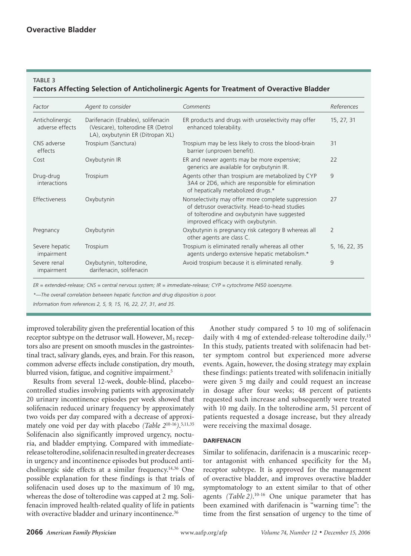## TARI F 3

# **Factors Affecting Selection of Anticholinergic Agents for Treatment of Overactive Bladder**

| Factor                             | Agent to consider                                                                                             | Comments                                                                                                                                                                                   | References    |
|------------------------------------|---------------------------------------------------------------------------------------------------------------|--------------------------------------------------------------------------------------------------------------------------------------------------------------------------------------------|---------------|
| Anticholinergic<br>adverse effects | Darifenacin (Enablex), solifenacin<br>(Vesicare), tolterodine ER (Detrol)<br>LA), oxybutynin ER (Ditropan XL) | ER products and drugs with uroselectivity may offer<br>enhanced tolerability.                                                                                                              | 15, 27, 31    |
| CNS adverse<br>effects             | Trospium (Sanctura)                                                                                           | Trospium may be less likely to cross the blood-brain<br>barrier (unproven benefit).                                                                                                        | 31            |
| Cost                               | Oxybutynin IR                                                                                                 | ER and newer agents may be more expensive;<br>generics are available for oxybutynin IR.                                                                                                    | 22            |
| Drug-drug<br>interactions          | Trospium                                                                                                      | Agents other than trospium are metabolized by CYP<br>3A4 or 2D6, which are responsible for elimination<br>of hepatically metabolized drugs.*                                               | $\mathsf{Q}$  |
| Effectiveness                      | Oxybutynin                                                                                                    | Nonselectivity may offer more complete suppression<br>of detrusor overactivity. Head-to-head studies<br>of tolterodine and oxybutynin have suggested<br>improved efficacy with oxybutynin. | 27            |
| Pregnancy                          | Oxybutynin                                                                                                    | Oxybutynin is pregnancy risk category B whereas all<br>other agents are class C.                                                                                                           | 2             |
| Severe hepatic<br>impairment       | Trospium                                                                                                      | Trospium is eliminated renally whereas all other<br>agents undergo extensive hepatic metabolism.*                                                                                          | 5, 16, 22, 35 |
| Severe renal<br>impairment         | Oxybutynin, tolterodine,<br>darifenacin, solifenacin                                                          | Avoid trospium because it is eliminated renally.                                                                                                                                           | 9             |

*ER = extended-release; CNS = central nervous system; IR = immediate-release; CYP = cytochrome P450 isoenzyme.*

*\*—The overall correlation between hepatic function and drug disposition is poor.*

*Information from references 2, 5, 9, 15, 16, 22, 27, 31, and 35.*

improved tolerability given the preferential location of this receptor subtype on the detrusor wall. However,  $M_3$  receptors also are present on smooth muscles in the gastrointestinal tract, salivary glands, eyes, and brain. For this reason, common adverse effects include constipation, dry mouth, blurred vision, fatigue, and cognitive impairment.<sup>5</sup>

Results from several 12-week, double-blind, placebocontrolled studies involving patients with approximately 20 urinary incontinence episodes per week showed that solifenacin reduced urinary frequency by approximately two voids per day compared with a decrease of approximately one void per day with placebo *(Table 2*10-16*)*. 5,11,35 Solifenacin also significantly improved urgency, nocturia, and bladder emptying. Compared with immediaterelease tolterodine, solifenacin resulted in greater decreases in urgency and incontinence episodes but produced anticholinergic side effects at a similar frequency.14,36 One possible explanation for these findings is that trials of solifenacin used doses up to the maximum of 10 mg, whereas the dose of tolterodine was capped at 2 mg. Solifenacin improved health-related quality of life in patients with overactive bladder and urinary incontinence.<sup>36</sup>

Another study compared 5 to 10 mg of solifenacin daily with 4 mg of extended-release tolterodine daily.<sup>15</sup> In this study, patients treated with solifenacin had better symptom control but experienced more adverse events. Again, however, the dosing strategy may explain these findings: patients treated with solifenacin initially were given 5 mg daily and could request an increase in dosage after four weeks; 48 percent of patients requested such increase and subsequently were treated with 10 mg daily. In the tolterodine arm, 51 percent of patients requested a dosage increase, but they already were receiving the maximal dosage.

## **darifenacin**

Similar to solifenacin, darifenacin is a muscarinic receptor antagonist with enhanced specificity for the  $M_3$ receptor subtype. It is approved for the management of overactive bladder, and improves overactive bladder symptomatology to an extent similar to that of other agents *(Table 2)*. 10-16 One unique parameter that has been examined with darifenacin is "warning time": the time from the first sensation of urgency to the time of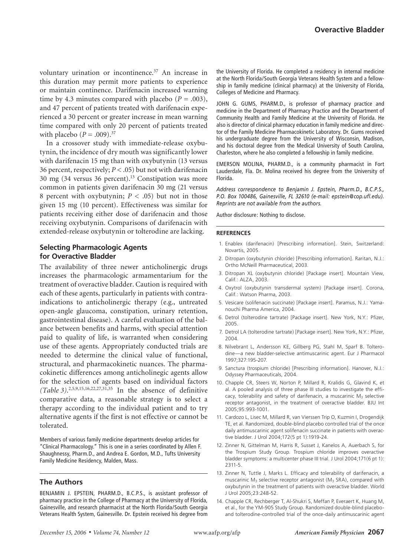voluntary urination or incontinence.<sup>37</sup> An increase in this duration may permit more patients to experience or maintain continence. Darifenacin increased warning time by 4.3 minutes compared with placebo  $(P = .003)$ , and 47 percent of patients treated with darifenacin experienced a 30 percent or greater increase in mean warning time compared with only 20 percent of patients treated with placebo  $(P = .009).^{37}$ 

In a crossover study with immediate-release oxybutynin, the incidence of dry mouth was significantly lower with darifenacin 15 mg than with oxybutynin (13 versus 36 percent, respectively;  $P < .05$ ) but not with darifenacin 30 mg (34 versus 36 percent).13 Constipation was more common in patients given darifenacin 30 mg (21 versus 8 percent with oxybutynin;  $P < .05$ ) but not in those given 15 mg (10 percent). Effectiveness was similar for patients receiving either dose of darifenacin and those receiving oxybutynin. Comparisons of darifenacin with extended-release oxybutynin or tolterodine are lacking.

## **Selecting Pharmacologic Agents for Overactive Bladder**

The availability of three newer anticholinergic drugs increases the pharmacologic armamentarium for the treatment of overactive bladder. Caution is required with each of these agents, particularly in patients with contraindications to anticholinergic therapy (e.g., untreated open-angle glaucoma, constipation, urinary retention, gastrointestinal disease). A careful evaluation of the balance between benefits and harms, with special attention paid to quality of life, is warranted when considering use of these agents. Appropriately conducted trials are needed to determine the clinical value of functional, structural, and pharmacokinetic nuances. The pharmacokinetic differences among anticholinegic agents allow for the selection of agents based on individual factors *(Table 3)*. 2,5,9,15,16,22,27,31,35 In the absence of definitive comparative data, a reasonable strategy is to select a therapy according to the individual patient and to try alternative agents if the first is not effective or cannot be tolerated.

Members of various family medicine departments develop articles for "Clinical Pharmacology." This is one in a series coordinated by Allen F. Shaughnessy, Pharm.D., and Andrea E. Gordon, M.D., Tufts University Family Medicine Residency, Malden, Mass.

## **The Authors**

BENJAMIN J. EPSTEIN, PHARM.D., B.C.P.S., is assistant professor of pharmacy practice in the College of Pharmacy at the University of Florida, Gainesville, and research pharmacist at the North Florida/South Georgia Veterans Health System, Gainesville. Dr. Epstein received his degree from

the University of Florida. He completed a residency in internal medicine at the North Florida/South Georgia Veterans Health System and a fellowship in family medicine (clinical pharmacy) at the University of Florida, Colleges of Medicine and Pharmacy.

JOHN G. GUMS, PHARM.D., is professor of pharmacy practice and medicine in the Department of Pharmacy Practice and the Department of Community Health and Family Medicine at the University of Florida. He also is director of clinical pharmacy education in family medicine and director of the Family Medicine Pharmacokinetic Laboratory. Dr. Gums received his undergraduate degree from the University of Wisconsin, Madison, and his doctoral degree from the Medical University of South Carolina, Charleston, where he also completed a fellowship in family medicine.

EMERSON MOLINA, PHARM.D., is a community pharmacist in Fort Lauderdale, Fla. Dr. Molina received his degree from the University of Florida.

*Address correspondence to Benjamin J. Epstein, Pharm.D., B.C.P.S., P.O. Box 100486, Gainesville, FL 32610 (e-mail: epstein@cop.ufl.edu). Reprints are not available from the authors.*

Author disclosure: Nothing to disclose.

#### **REFERENCES**

- 1. Enablex (darifenacin) [Prescribing information]. Stein, Switzerland: Novartis, 2005.
- 2. Ditropan (oxybutynin chloride) [Prescribing information]. Raritan, N.J.: Ortho McNeill Pharmaceutical, 2003.
- 3. Ditropan XL (oxybutynin chloride) [Package insert]. Mountain View, Calif.: ALZA, 2003.
- 4. Oxytrol (oxybutynin transdermal system) [Package insert]. Corona, Calif.: Watson Pharma, 2003.
- 5. Vesicare (solifenacin succinate) [Package insert]. Paramus, N.J.: Yamanouchi Pharma America, 2004.
- 6. Detrol (tolterodine tartrate) [Package insert]. New York, N.Y.: Pfizer, 2005.
- 7. Detrol LA (tolterodine tartrate) [Package insert]. New York, N.Y.: Pfizer, 2004.
- 8. Nilvebrant L, Andersson KE, Gillberg PG, Stahl M, Sparf B. Tolterodine—a new bladder-selective antimuscarinic agent. Eur J Pharmacol 1997;327:195-207.
- 9. Sanctura (trospium chloride) [Prescribing information]. Hanover, N.J.: Odyssey Pharmaceuticals, 2004.
- 10. Chapple CR, Steers W, Norton P, Millard R, Kralidis G, Glavind K, et al. A pooled analysis of three phase III studies to investigate the efficacy, tolerability and safety of darifenacin, a muscarinic  $M_3$  selective receptor antagonist, in the treatment of overactive bladder. BJU Int 2005;95:993-1001.
- 11. Cardozo L, Lisec M, Millard R, van Vierssen Trip O, Kuzmin I, Drogendijk TE, et al. Randomized, double-blind placebo controlled trial of the once daily antimuscarinic agent solifenacin succinate in patients with overactive bladder. J Urol 2004;172(5 pt 1):1919-24.
- 12. Zinner N, Gittelman M, Harris R, Susset J, Kanelos A, Auerbach S, for the Trospium Study Group. Trospium chloride improves overactive bladder symptoms: a multicenter phase III trial. J Urol 2004;171(6 pt 1): 2311-5.
- 13. Zinner N, Tuttle J, Marks L. Efficacy and tolerability of darifenacin, a muscarinic  $M_3$  selective receptor antagonist ( $M_3$  SRA), compared with oxybutynin in the treatment of patients with overactive bladder. World J Urol 2005;23:248-52.
- 14. Chapple CR, Rechberger T, Al-Shukri S, Meffan P, Everaert K, Huang M, et al., for the YM-905 Study Group. Randomized double-blind placeboand tolterodine-controlled trial of the once-daily antimuscarinic agent